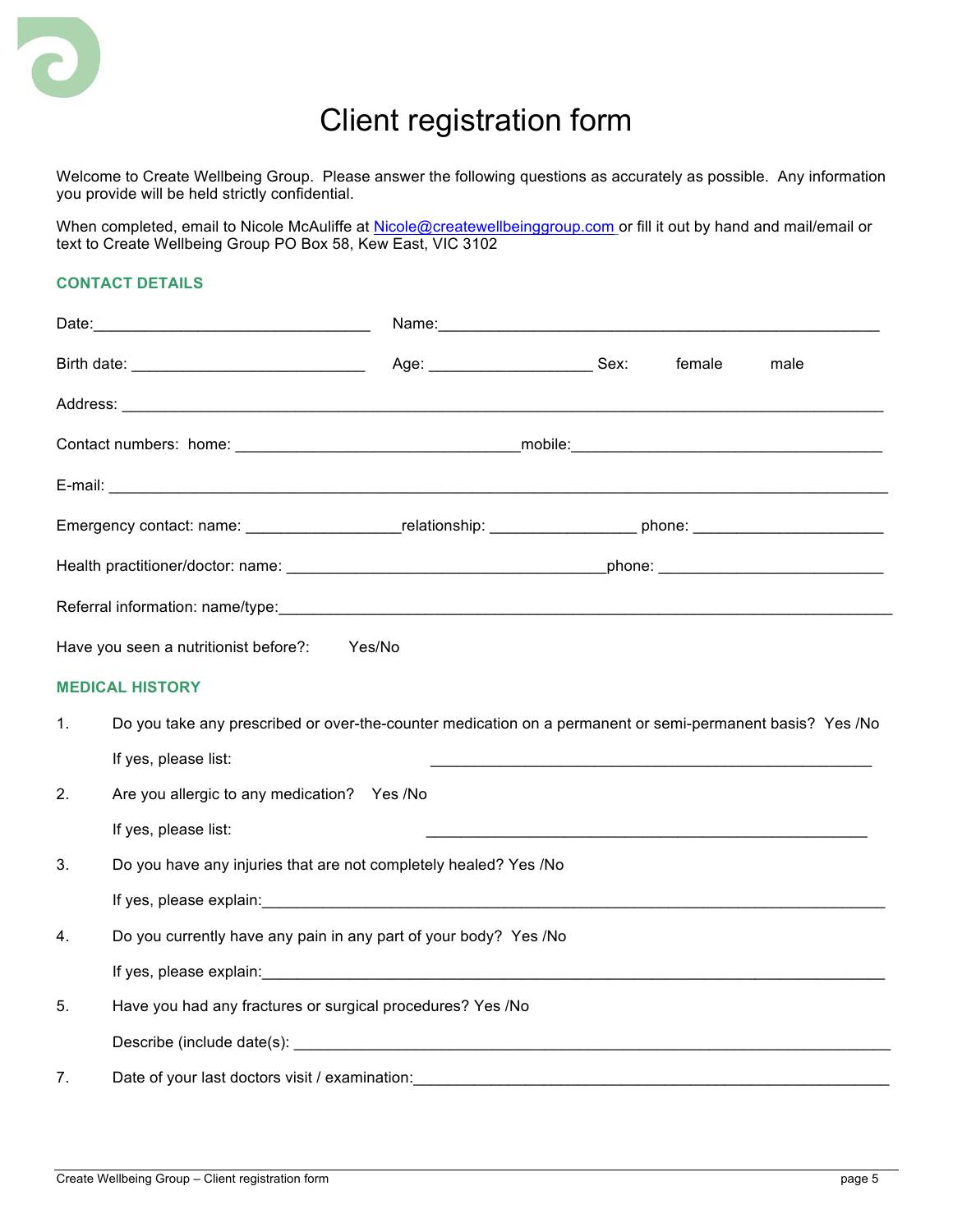

# Client registration form

Welcome to Create Wellbeing Group. Please answer the following questions as accurately as possible. Any information you provide will be held strictly confidential.

When completed, email to Nicole McAuliffe at Nicole@createwellbeinggroup.com or fill it out by hand and mail/email or text to Create Wellbeing Group PO Box 58, Kew East, VIC 3102

### **CONTACT DETAILS**

|                                                                                                                |                                                                                                           | Name: Name: |  |        |      |  |  |  |
|----------------------------------------------------------------------------------------------------------------|-----------------------------------------------------------------------------------------------------------|-------------|--|--------|------|--|--|--|
|                                                                                                                |                                                                                                           |             |  | female | male |  |  |  |
|                                                                                                                |                                                                                                           |             |  |        |      |  |  |  |
|                                                                                                                | Contact numbers: home: __________________________________mobile: ___________________________________      |             |  |        |      |  |  |  |
|                                                                                                                |                                                                                                           |             |  |        |      |  |  |  |
| Emergency contact: name: ________________________relationship: __________________ phone: _____________________ |                                                                                                           |             |  |        |      |  |  |  |
|                                                                                                                |                                                                                                           |             |  |        |      |  |  |  |
|                                                                                                                |                                                                                                           |             |  |        |      |  |  |  |
|                                                                                                                | Have you seen a nutritionist before?:                                                                     | Yes/No      |  |        |      |  |  |  |
|                                                                                                                | <b>MEDICAL HISTORY</b>                                                                                    |             |  |        |      |  |  |  |
| 1.                                                                                                             | Do you take any prescribed or over-the-counter medication on a permanent or semi-permanent basis? Yes /No |             |  |        |      |  |  |  |
|                                                                                                                | If yes, please list:                                                                                      |             |  |        |      |  |  |  |
| 2.                                                                                                             | Are you allergic to any medication? Yes /No                                                               |             |  |        |      |  |  |  |
| If yes, please list:                                                                                           |                                                                                                           |             |  |        |      |  |  |  |
| 3.                                                                                                             | Do you have any injuries that are not completely healed? Yes /No                                          |             |  |        |      |  |  |  |
|                                                                                                                |                                                                                                           |             |  |        |      |  |  |  |
| 4.                                                                                                             | Do you currently have any pain in any part of your body? Yes /No                                          |             |  |        |      |  |  |  |
|                                                                                                                |                                                                                                           |             |  |        |      |  |  |  |
| 5.                                                                                                             | Have you had any fractures or surgical procedures? Yes /No                                                |             |  |        |      |  |  |  |
|                                                                                                                |                                                                                                           |             |  |        |      |  |  |  |
| 7.                                                                                                             | Date of your last doctors visit / examination:                                                            |             |  |        |      |  |  |  |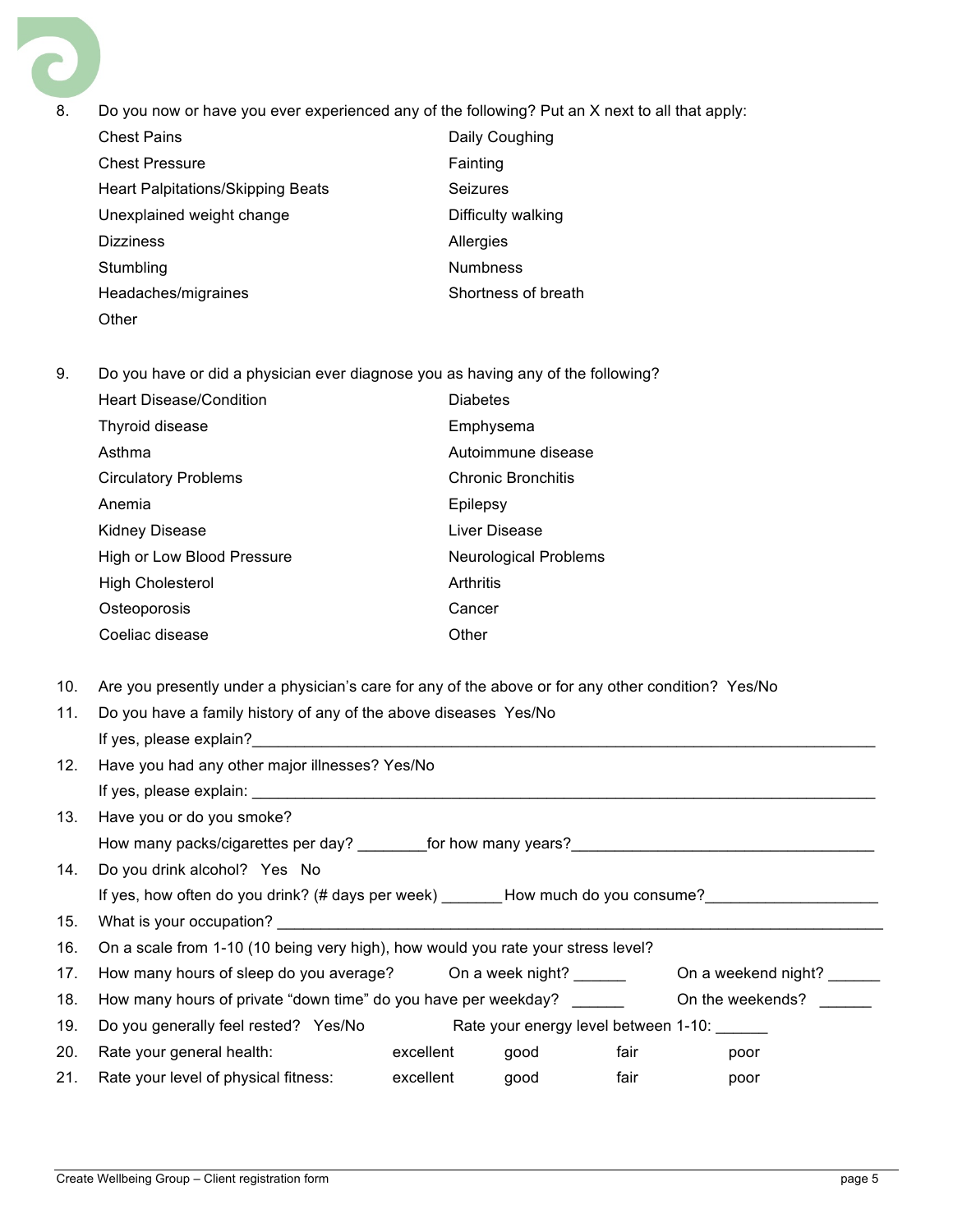

8. Do you now or have you ever experienced any of the following? Put an X next to all that apply:

| <b>Chest Pains</b>                       | Daily Coughing      |
|------------------------------------------|---------------------|
| <b>Chest Pressure</b>                    | Fainting            |
| <b>Heart Palpitations/Skipping Beats</b> | <b>Seizures</b>     |
| Unexplained weight change                | Difficulty walking  |
| <b>Dizziness</b>                         | Allergies           |
| Stumbling                                | <b>Numbness</b>     |
| Headaches/migraines                      | Shortness of breath |
| Other                                    |                     |

9. Do you have or did a physician ever diagnose you as having any of the following?

| Heart Disease/Condition     | <b>Diabetes</b>              |
|-----------------------------|------------------------------|
| Thyroid disease             | Emphysema                    |
| Asthma                      | Autoimmune disease           |
| <b>Circulatory Problems</b> | Chronic Bronchitis           |
| Anemia                      | Epilepsy                     |
| <b>Kidney Disease</b>       | Liver Disease                |
| High or Low Blood Pressure  | <b>Neurological Problems</b> |
| <b>High Cholesterol</b>     | Arthritis                    |
| Osteoporosis                | Cancer                       |
| Coeliac disease             | Other                        |

10. Are you presently under a physician's care for any of the above or for any other condition? Yes/No

| Do you have a family history of any of the above diseases Yes/No |  |
|------------------------------------------------------------------|--|
| If yes, please explain?                                          |  |

| 12. | Have you had any other major illnesses? Yes/No                                       |  |  |      |      |  |  |
|-----|--------------------------------------------------------------------------------------|--|--|------|------|--|--|
|     |                                                                                      |  |  |      |      |  |  |
|     | 13. Have you or do you smoke?                                                        |  |  |      |      |  |  |
|     | How many packs/cigarettes per day? _________for how many years? ________________     |  |  |      |      |  |  |
|     | 14. Do you drink alcohol? Yes No                                                     |  |  |      |      |  |  |
|     | If yes, how often do you drink? (# days per week) ________How much do you consume?   |  |  |      |      |  |  |
| 15. |                                                                                      |  |  |      |      |  |  |
|     | 16. On a scale from 1-10 (10 being very high), how would you rate your stress level? |  |  |      |      |  |  |
|     | 17. How many hours of sleep do you average? On a week night?<br>On a weekend night?  |  |  |      |      |  |  |
| 18. | How many hours of private "down time" do you have per weekday?<br>On the weekends?   |  |  |      |      |  |  |
| 19. | Do you generally feel rested? Yes/No Rate your energy level between 1-10:            |  |  |      |      |  |  |
| 20. | Rate your general health: excellent good                                             |  |  | fair | poor |  |  |
|     | 21. Rate your level of physical fitness: excellent good                              |  |  | fair | poor |  |  |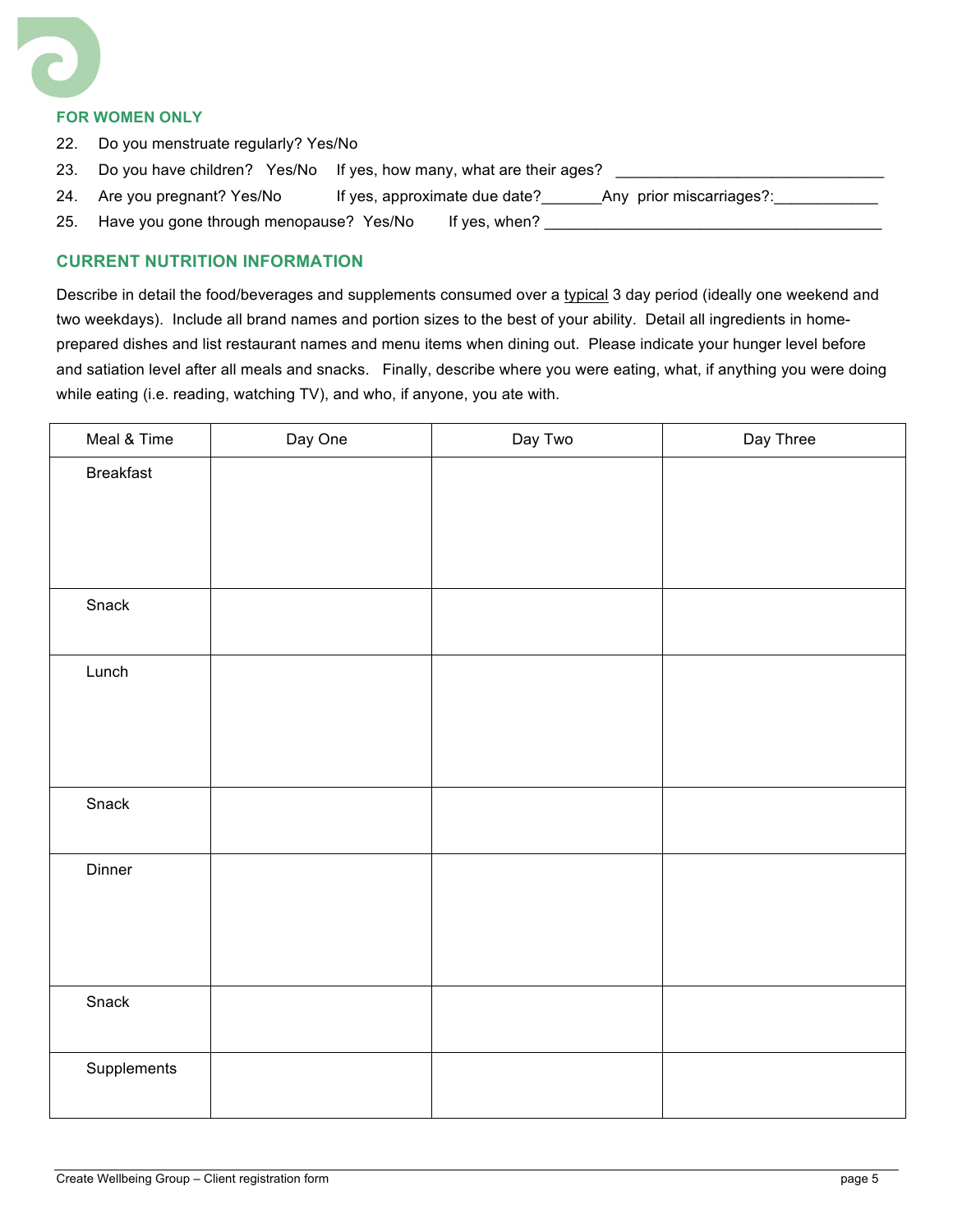

#### **FOR WOMEN ONLY**

- 22. Do you menstruate regularly? Yes/No
- 23. Do you have children? Yes/No If yes, how many, what are their ages? \_\_\_\_\_\_\_\_\_\_\_\_\_\_\_\_\_\_\_\_\_\_\_\_\_\_\_\_
- 24. Are you pregnant? Yes/No If yes, approximate due date? \_\_\_\_\_\_\_Any prior miscarriages?: \_\_\_\_\_\_\_\_\_\_\_\_\_\_\_
- 25. Have you gone through menopause? Yes/No If yes, when? \_\_\_\_\_\_\_\_\_\_\_\_\_\_\_\_\_\_\_\_\_\_

## **CURRENT NUTRITION INFORMATION**

Describe in detail the food/beverages and supplements consumed over a typical 3 day period (ideally one weekend and two weekdays). Include all brand names and portion sizes to the best of your ability. Detail all ingredients in homeprepared dishes and list restaurant names and menu items when dining out. Please indicate your hunger level before and satiation level after all meals and snacks. Finally, describe where you were eating, what, if anything you were doing while eating (i.e. reading, watching TV), and who, if anyone, you ate with.

| Meal & Time      | Day One | Day Two | Day Three |
|------------------|---------|---------|-----------|
| <b>Breakfast</b> |         |         |           |
|                  |         |         |           |
|                  |         |         |           |
|                  |         |         |           |
| Snack            |         |         |           |
|                  |         |         |           |
| Lunch            |         |         |           |
|                  |         |         |           |
|                  |         |         |           |
|                  |         |         |           |
| Snack            |         |         |           |
|                  |         |         |           |
| Dinner           |         |         |           |
|                  |         |         |           |
|                  |         |         |           |
|                  |         |         |           |
| Snack            |         |         |           |
|                  |         |         |           |
| Supplements      |         |         |           |
|                  |         |         |           |